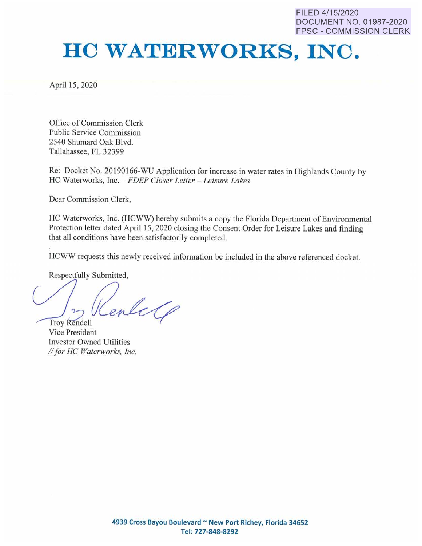FILED 4/15/2020 DOCUMENT NO. 01987-2020 FPSC - COMMISSION CLERK

## **HO WATERWORKS, INC.**

April 15, 2020

Office of Commission Clerk Public Service Commission 2540 Shumard Oak Blvd. Tallahassee, FL 32399

Re: Docket No. 20190166-WU Application for increase in water rates in Highlands County by HC Waterworks, Inc. - *FDEP Closer Letter - Leisure Lakes* 

Dear Commission Clerk,

HC Waterworks; Inc. (HCWW) hereby submits a copy the Florida Department of Environmental Protection letter dated April 15, 2020 closing the Consent Order for Leisure Lakes and finding that all conditions have been satisfactorily completed.

HCWW requests this newly received infonnation be included in **the** above referenced docket.

Respectfully Submitted,

Troy Rendell

Vice President Investor Owned Utilities *II for HC Waterworks, Inc.*